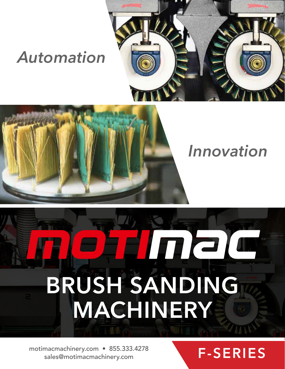### *Automation*





### *Innovation*

# Thele **BRUSH SANDING MACHINERY**

motimacmachinery.com • 855.333.4278<br>
sales@motimacmachinery.com **F-SERIES** sales@motimacmachinery.com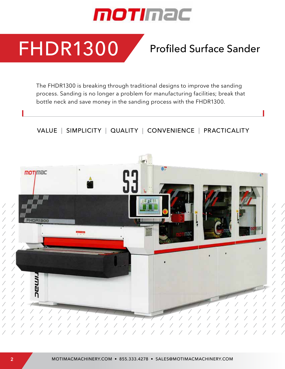

FHDR1300

### Profiled Surface Sander

The FHDR1300 is breaking through traditional designs to improve the sanding process. Sanding is no longer a problem for manufacturing facilities; break that bottle neck and save money in the sanding process with the FHDR1300.

VALUE | SIMPLICITY | QUALITY | CONVENIENCE | PRACTICALITY

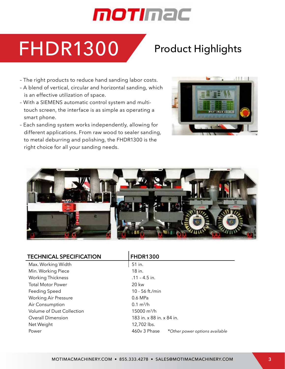### motimac

### FHDR1300 Product Highlights

- The right products to reduce hand sanding labor costs.
- A blend of vertical, circular and horizontal sanding, which is an effective utilization of space.
- With a SIEMENS automatic control system and multitouch screen, the interface is as simple as operating a smart phone.
- Each sanding system works independently, allowing for different applications. From raw wood to sealer sanding, to metal deburring and polishing, the FHDR1300 is the right choice for all your sanding needs.





| <b>TECHNICAL SPECIFICATION</b> | <b>FHDR1300</b>                                |  |  |
|--------------------------------|------------------------------------------------|--|--|
| Max. Working Width             | 51 in.                                         |  |  |
| Min. Working Piece             | 18 in.                                         |  |  |
| <b>Working Thickness</b>       | $.11 - 4.5$ in.                                |  |  |
| <b>Total Motor Power</b>       | 20 kw                                          |  |  |
| Feeding Speed                  | 10 - 56 ft./min                                |  |  |
| <b>Working Air Pressure</b>    | 0.6 MPa                                        |  |  |
| Air Consumption                | $0.1 \text{ m}^3/h$                            |  |  |
| Volume of Dust Collection      | $15000 \text{ m}^3/h$                          |  |  |
| <b>Overall Dimension</b>       | 183 in. x 88 in. x 84 in.                      |  |  |
| Net Weight                     | 12,702 lbs.                                    |  |  |
| Power                          | 460v 3 Phase<br>*Other power options available |  |  |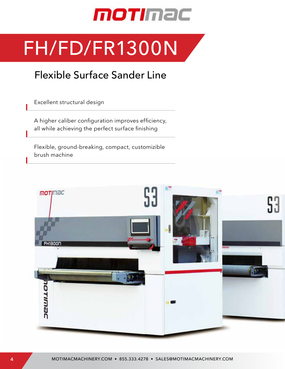

## FH/FD/FR1300N

### Flexible Surface Sander Line

Excellent structural design

A higher caliber configuration improves efficiency, all while achieving the perfect surface finishing

Flexible, ground-breaking, compact, customizible brush machine

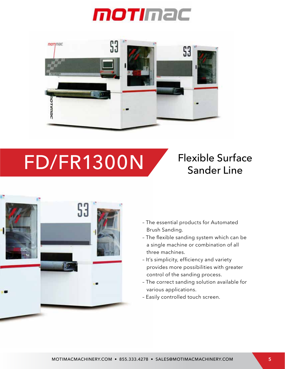



## FD/FR1300N Flexible Surface



- The essential products for Automated Brush Sanding.
- The flexible sanding system which can be a single machine or combination of all three machines.
- It's simplicity, efficiency and variety provides more possibilities with greater control of the sanding process.
- The correct sanding solution available for various applications.
- Easily controlled touch screen.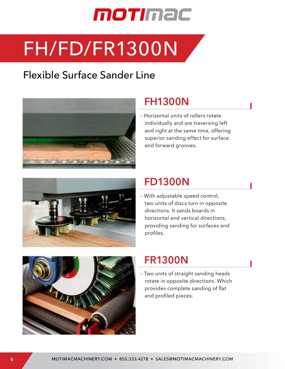

## FH/FD/FR1300N

### Flexible Surface Sander Line



#### **FH1300N**

– Horizontal units of rollers rotate individually and are traversing left and right at the same time, offering superior sanding effect for surface and forward grooves.



#### **FD1300N**

– With adjustable speed control, two units of discs turn in opposite directions. It sands boards in horizontal and vertical directions, providing sanding for surfaces and profiles.



#### **FR1300N**

– Two units of straight sanding heads rotate in opposite directions. Which provides complete sanding of flat and profiled pieces.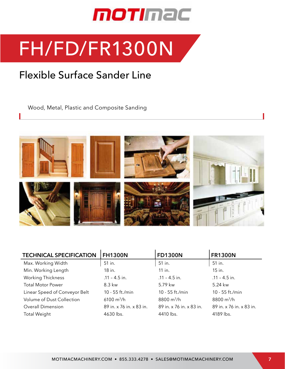

### FH/FD/FR1300N

### Flexible Surface Sander Line

Wood, Metal, Plastic and Composite Sanding



| <b>TECHNICAL SPECIFICATION</b> | <b>FH1300N</b>           | <b>FD1300N</b>           | <b>FR1300N</b>           |
|--------------------------------|--------------------------|--------------------------|--------------------------|
| Max. Working Width             | 51 in.                   | 51 in.                   | 51 in.                   |
| Min. Working Length            | 18 in.                   | 11 in.                   | 15 in.                   |
| <b>Working Thickness</b>       | $.11 - 4.5$ in.          | $.11 - 4.5$ in.          | $.11 - 4.5$ in.          |
| <b>Total Motor Power</b>       | 8.3 kw                   | 5.79 kw                  | 5.24 kw                  |
| Linear Speed of Conveyor Belt  | 10 - 55 ft./min          | 10 - 55 ft./min          | 10 - 55 ft./min          |
| Volume of Dust Collection      | $6100 \text{ m}^3/h$     | 8800 $m^3/h$             | 8800 $m^3/h$             |
| <b>Overall Dimension</b>       | 89 in. x 76 in. x 83 in. | 89 in. x 76 in. x 83 in. | 89 in. x 76 in. x 83 in. |
| <b>Total Weight</b>            | 4630 lbs.                | 4410 lbs.                | 4189 lbs.                |